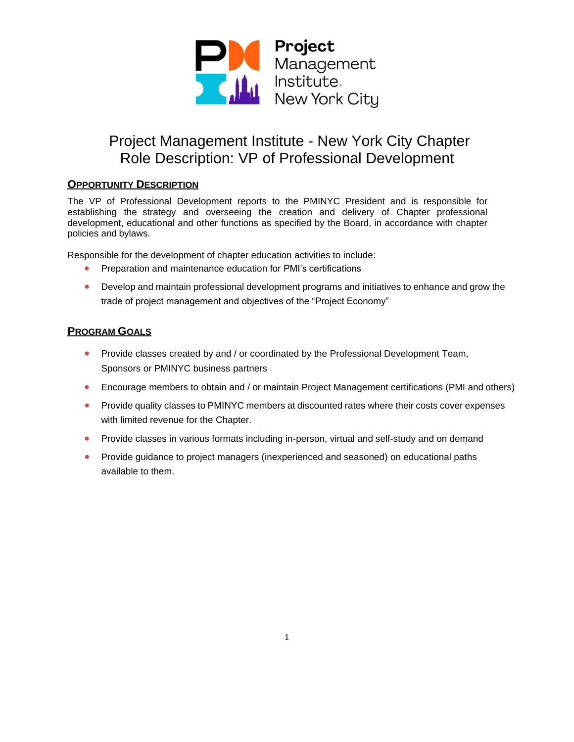

### **OPPORTUNITY DESCRIPTION**

The VP of Professional Development reports to the PMINYC President and is responsible for establishing the strategy and overseeing the creation and delivery of Chapter professional development, educational and other functions as specified by the Board, in accordance with chapter policies and bylaws.

Responsible for the development of chapter education activities to include:

- Preparation and maintenance education for PMI's certifications
- Develop and maintain professional development programs and initiatives to enhance and grow the trade of project management and objectives of the "Project Economy"

### **PROGRAM GOALS**

- Provide classes created by and / or coordinated by the Professional Development Team, Sponsors or PMINYC business partners
- Encourage members to obtain and / or maintain Project Management certifications (PMI and others)
- Provide quality classes to PMINYC members at discounted rates where their costs cover expenses with limited revenue for the Chapter.
- Provide classes in various formats including in-person, virtual and self-study and on demand
- Provide guidance to project managers (inexperienced and seasoned) on educational paths available to them.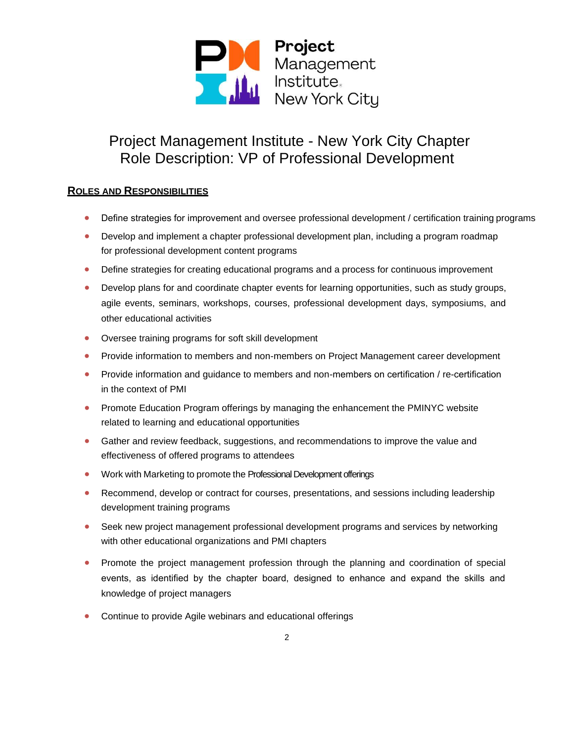

### **ROLES AND RESPONSIBILITIES**

- Define strategies for improvement and oversee professional development / certification training programs
- Develop and implement a chapter professional development plan, including a program roadmap for professional development content programs
- Define strategies for creating educational programs and a process for continuous improvement
- Develop plans for and coordinate chapter events for learning opportunities, such as study groups, agile events, seminars, workshops, courses, professional development days, symposiums, and other educational activities
- Oversee training programs for soft skill development
- Provide information to members and non-members on Project Management career development
- Provide information and guidance to members and non-members on certification / re-certification in the context of PMI
- Promote Education Program offerings by managing the enhancement the PMINYC website related to learning and educational opportunities
- Gather and review feedback, suggestions, and recommendations to improve the value and effectiveness of offered programs to attendees
- Work with Marketing to promote the Professional Development offerings
- Recommend, develop or contract for courses, presentations, and sessions including leadership development training programs
- Seek new project management professional development programs and services by networking with other educational organizations and PMI chapters
- Promote the project management profession through the planning and coordination of special events, as identified by the chapter board, designed to enhance and expand the skills and knowledge of project managers
- Continue to provide Agile webinars and educational offerings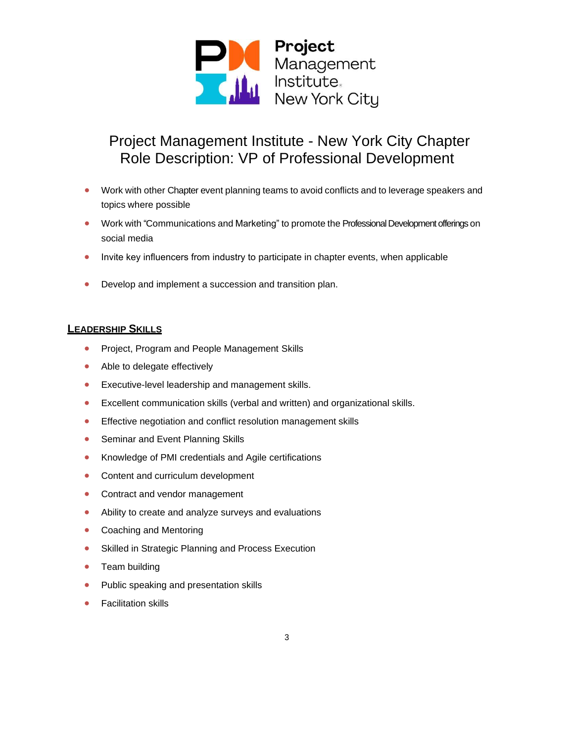

- Work with other Chapter event planning teams to avoid conflicts and to leverage speakers and topics where possible
- Work with "Communications and Marketing" to promote the Professional Development offerings on social media
- Invite key influencers from industry to participate in chapter events, when applicable
- Develop and implement a succession and transition plan.

#### **LEADERSHIP SKILLS**

- Project, Program and People Management Skills
- Able to delegate effectively
- Executive-level leadership and management skills.
- Excellent communication skills (verbal and written) and organizational skills.
- Effective negotiation and conflict resolution management skills
- Seminar and Event Planning Skills
- Knowledge of PMI credentials and Agile certifications
- Content and curriculum development
- Contract and vendor management
- Ability to create and analyze surveys and evaluations
- Coaching and Mentoring
- Skilled in Strategic Planning and Process Execution
- Team building
- Public speaking and presentation skills
- Facilitation skills